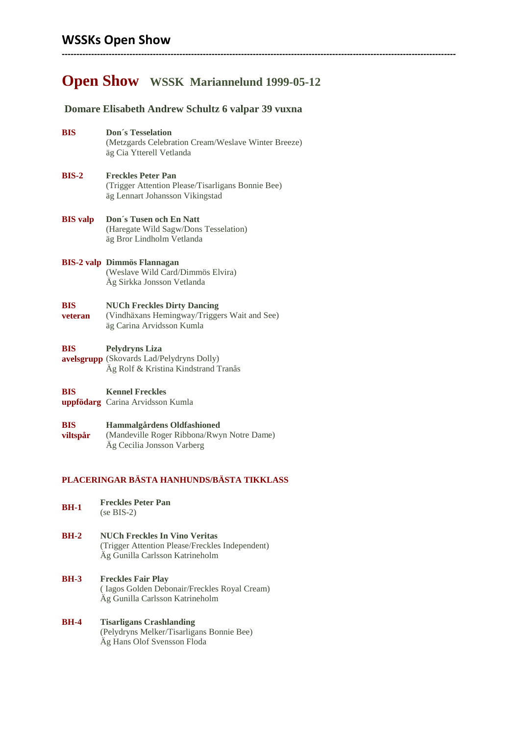# **WSSKs Open Show**

# **Open Show WSSK Mariannelund 1999-05-12**

**--------------------------------------------------------------------------------------------------------------------------------------**

## **Domare Elisabeth Andrew Schultz 6 valpar 39 vuxna**

- **BIS Don´s Tesselation** (Metzgards Celebration Cream/Weslave Winter Breeze) äg Cia Ytterell Vetlanda
- **BIS-2 Freckles Peter Pan** (Trigger Attention Please/Tisarligans Bonnie Bee) äg Lennart Johansson Vikingstad
- **BIS valp Don´s Tusen och En Natt** (Haregate Wild Sagw/Dons Tesselation) äg Bror Lindholm Vetlanda
- **BIS-2 valp Dimmös Flannagan** (Weslave Wild Card/Dimmös Elvira) Äg Sirkka Jonsson Vetlanda

#### **BIS NUCh Freckles Dirty Dancing**

**veteran** (Vindhäxans Hemingway/Triggers Wait and See) äg Carina Arvidsson Kumla

#### **BIS Pelydryns Liza**

**avelsgrupp** (Skovards Lad/Pelydryns Dolly) Äg Rolf & Kristina Kindstrand Tranås

#### **BIS Kennel Freckles**

- **uppfödarg** Carina Arvidsson Kumla
- **BIS viltspår Hammalgårdens Oldfashioned**  (Mandeville Roger Ribbona/Rwyn Notre Dame) Äg Cecilia Jonsson Varberg

## **PLACERINGAR BÄSTA HANHUNDS/BÄSTA TIKKLASS**

- **BH-1 Freckles Peter Pan** (se BIS-2)
- **BH-2 NUCh Freckles In Vino Veritas**  (Trigger Attention Please/Freckles Independent) Äg Gunilla Carlsson Katrineholm
- **BH-3 Freckles Fair Play**  ( Iagos Golden Debonair/Freckles Royal Cream) Äg Gunilla Carlsson Katrineholm

### **BH-4 Tisarligans Crashlanding** (Pelydryns Melker/Tisarligans Bonnie Bee) Äg Hans Olof Svensson Floda